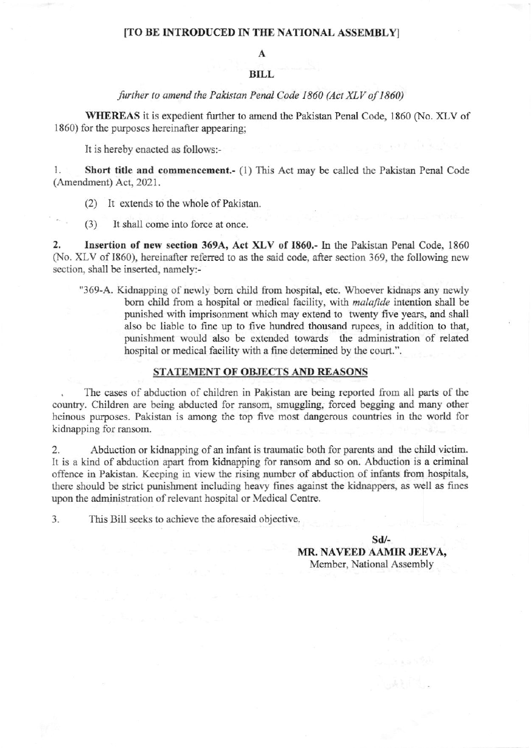### [TO BE INTRODUCED IN THE NATIONAL ASSEMBLY]

A

#### **BILL**

#### further to amend the Pakistan Penal Code 1860 (Act XLV of 1860)

WHEREAS it is expedient further to amend the Pakistan Penal Code, 1860 (No. XLV of 1860) for the purposes hereinafter appearing:

It is hereby enacted as follows:-

1. Short title and commencement. (1) This Act may be called the Pakistan Penal Code (Amendment) Act, 2021.

It extends to the whole of Pakistan.  $(2)$ 

 $(3)$ It shall come into force at once.

Insertion of new section 369A, Act XLV of 1860.- In the Pakistan Penal Code, 1860  $2.$ (No. XLV of 1860), hereinafter referred to as the said code, after section 369, the following new section, shall be inserted, namely:-

"369-A. Kidnapping of newly born child from hospital, etc. Whoever kidnaps any newly born child from a hospital or medical facility, with *malafide* intention shall be punished with imprisonment which may extend to twenty five years, and shall also be liable to fine up to five hundred thousand rupees, in addition to that, punishment would also be extended towards the administration of related hospital or medical facility with a fine determined by the court.".

#### STATEMENT OF OBJECTS AND REASONS

The cases of abduction of children in Pakistan are being reported from all parts of the country. Children are being abducted for ransom, smuggling, forced begging and many other heinous purposes. Pakistan is among the top five most dangerous countries in the world for kidnapping for ransom.

 $2.$ Abduction or kidnapping of an infant is traumatic both for parents and the child victim. It is a kind of abduction apart from kidnapping for ransom and so on. Abduction is a criminal offence in Pakistan. Keeping in view the rising number of abduction of infants from hospitals. there should be strict punishment including heavy fines against the kidnappers, as well as fines upon the administration of relevant hospital or Medical Centre.

3. This Bill seeks to achieve the aforesaid objective.

 $Sd$ /-

MR. NAVEED AAMIR JEEVA, Member, National Assembly